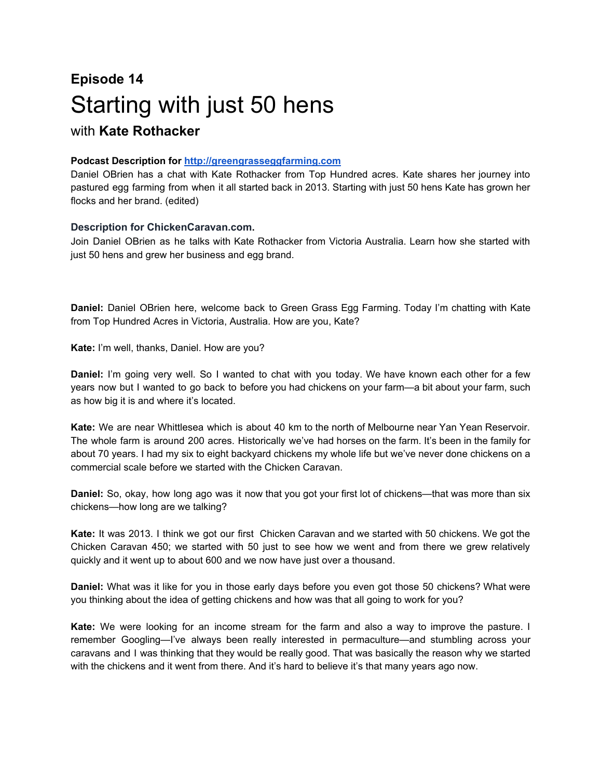## **Episode 14** Starting with just 50 hens with **Kate Rothacker**

## **Podcast Description for [http://greengrasseggfarming.com](http://greengrasseggfarming.com/)**

Daniel OBrien has a chat with Kate Rothacker from Top Hundred acres. Kate shares her journey into pastured egg farming from when it all started back in 2013. Starting with just 50 hens Kate has grown her flocks and her brand. (edited)

## **Description for ChickenCaravan.com.**

Join Daniel OBrien as he talks with Kate Rothacker from Victoria Australia. Learn how she started with just 50 hens and grew her business and egg brand.

**Daniel:** Daniel OBrien here, welcome back to Green Grass Egg Farming. Today I'm chatting with Kate from Top Hundred Acres in Victoria, Australia. How are you, Kate?

**Kate:** I'm well, thanks, Daniel. How are you?

**Daniel:** I'm going very well. So I wanted to chat with you today. We have known each other for a few years now but I wanted to go back to before you had chickens on your farm—a bit about your farm, such as how big it is and where it's located.

**Kate:** We are near Whittlesea which is about 40 km to the north of Melbourne near Yan Yean Reservoir. The whole farm is around 200 acres. Historically we've had horses on the farm. It's been in the family for about 70 years. I had my six to eight backyard chickens my whole life but we've never done chickens on a commercial scale before we started with the Chicken Caravan.

**Daniel:** So, okay, how long ago was it now that you got your first lot of chickens—that was more than six chickens—how long are we talking?

**Kate:** It was 2013. I think we got our first Chicken Caravan and we started with 50 chickens. We got the Chicken Caravan 450; we started with 50 just to see how we went and from there we grew relatively quickly and it went up to about 600 and we now have just over a thousand.

**Daniel:** What was it like for you in those early days before you even got those 50 chickens? What were you thinking about the idea of getting chickens and how was that all going to work for you?

**Kate:** We were looking for an income stream for the farm and also a way to improve the pasture. I remember Googling—I've always been really interested in permaculture—and stumbling across your caravans and I was thinking that they would be really good. That was basically the reason why we started with the chickens and it went from there. And it's hard to believe it's that many years ago now.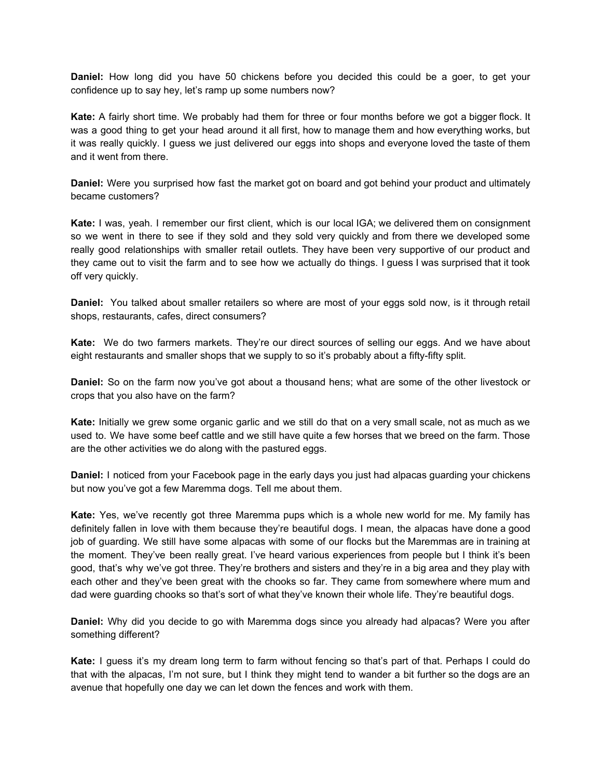**Daniel:** How long did you have 50 chickens before you decided this could be a goer, to get your confidence up to say hey, let's ramp up some numbers now?

**Kate:** A fairly short time. We probably had them for three or four months before we got a bigger flock. It was a good thing to get your head around it all first, how to manage them and how everything works, but it was really quickly. I guess we just delivered our eggs into shops and everyone loved the taste of them and it went from there.

**Daniel:** Were you surprised how fast the market got on board and got behind your product and ultimately became customers?

**Kate:** I was, yeah. I remember our first client, which is our local IGA; we delivered them on consignment so we went in there to see if they sold and they sold very quickly and from there we developed some really good relationships with smaller retail outlets. They have been very supportive of our product and they came out to visit the farm and to see how we actually do things. I guess I was surprised that it took off very quickly.

**Daniel:** You talked about smaller retailers so where are most of your eggs sold now, is it through retail shops, restaurants, cafes, direct consumers?

**Kate:** We do two farmers markets. They're our direct sources of selling our eggs. And we have about eight restaurants and smaller shops that we supply to so it's probably about a fifty-fifty split.

**Daniel:** So on the farm now you've got about a thousand hens; what are some of the other livestock or crops that you also have on the farm?

**Kate:** Initially we grew some organic garlic and we still do that on a very small scale, not as much as we used to. We have some beef cattle and we still have quite a few horses that we breed on the farm. Those are the other activities we do along with the pastured eggs.

**Daniel:** I noticed from your Facebook page in the early days you just had alpacas guarding your chickens but now you've got a few Maremma dogs. Tell me about them.

**Kate:** Yes, we've recently got three Maremma pups which is a whole new world for me. My family has definitely fallen in love with them because they're beautiful dogs. I mean, the alpacas have done a good job of guarding. We still have some alpacas with some of our flocks but the Maremmas are in training at the moment. They've been really great. I've heard various experiences from people but I think it's been good, that's why we've got three. They're brothers and sisters and they're in a big area and they play with each other and they've been great with the chooks so far. They came from somewhere where mum and dad were guarding chooks so that's sort of what they've known their whole life. They're beautiful dogs.

**Daniel:** Why did you decide to go with Maremma dogs since you already had alpacas? Were you after something different?

**Kate:** I guess it's my dream long term to farm without fencing so that's part of that. Perhaps I could do that with the alpacas, I'm not sure, but I think they might tend to wander a bit further so the dogs are an avenue that hopefully one day we can let down the fences and work with them.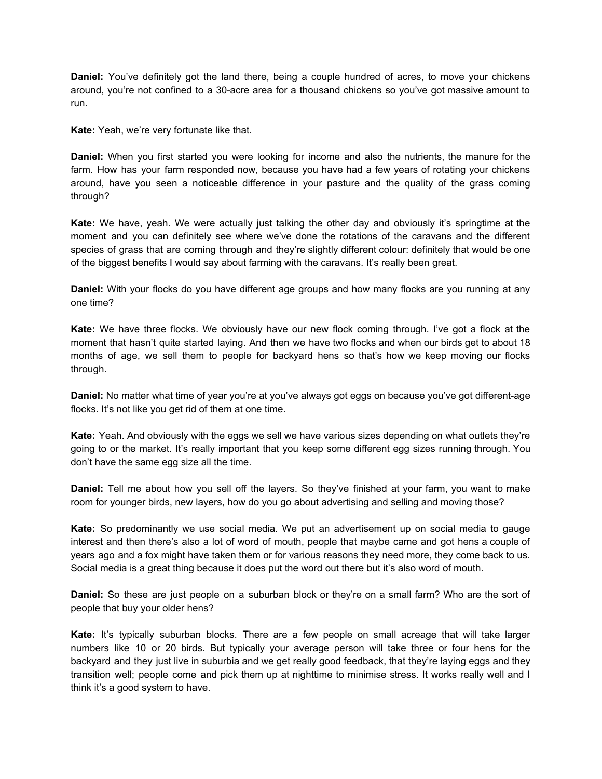**Daniel:** You've definitely got the land there, being a couple hundred of acres, to move your chickens around, you're not confined to a 30-acre area for a thousand chickens so you've got massive amount to run.

**Kate:** Yeah, we're very fortunate like that.

**Daniel:** When you first started you were looking for income and also the nutrients, the manure for the farm. How has your farm responded now, because you have had a few years of rotating your chickens around, have you seen a noticeable difference in your pasture and the quality of the grass coming through?

**Kate:** We have, yeah. We were actually just talking the other day and obviously it's springtime at the moment and you can definitely see where we've done the rotations of the caravans and the different species of grass that are coming through and they're slightly different colour: definitely that would be one of the biggest benefits I would say about farming with the caravans. It's really been great.

**Daniel:** With your flocks do you have different age groups and how many flocks are you running at any one time?

**Kate:** We have three flocks. We obviously have our new flock coming through. I've got a flock at the moment that hasn't quite started laying. And then we have two flocks and when our birds get to about 18 months of age, we sell them to people for backyard hens so that's how we keep moving our flocks through.

**Daniel:** No matter what time of year you're at you've always got eggs on because you've got different-age flocks. It's not like you get rid of them at one time.

**Kate:** Yeah. And obviously with the eggs we sell we have various sizes depending on what outlets they're going to or the market. It's really important that you keep some different egg sizes running through. You don't have the same egg size all the time.

**Daniel:** Tell me about how you sell off the layers. So they've finished at your farm, you want to make room for younger birds, new layers, how do you go about advertising and selling and moving those?

**Kate:** So predominantly we use social media. We put an advertisement up on social media to gauge interest and then there's also a lot of word of mouth, people that maybe came and got hens a couple of years ago and a fox might have taken them or for various reasons they need more, they come back to us. Social media is a great thing because it does put the word out there but it's also word of mouth.

**Daniel:** So these are just people on a suburban block or they're on a small farm? Who are the sort of people that buy your older hens?

**Kate:** It's typically suburban blocks. There are a few people on small acreage that will take larger numbers like 10 or 20 birds. But typically your average person will take three or four hens for the backyard and they just live in suburbia and we get really good feedback, that they're laying eggs and they transition well; people come and pick them up at nighttime to minimise stress. It works really well and I think it's a good system to have.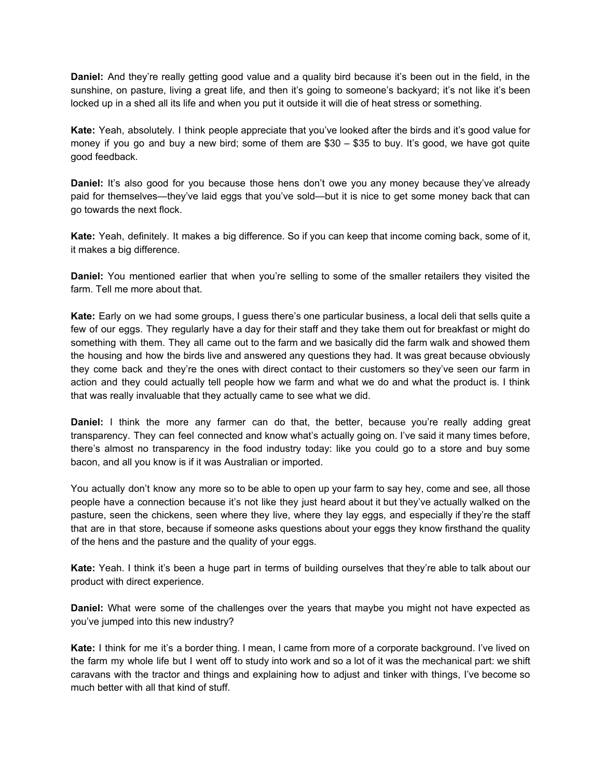**Daniel:** And they're really getting good value and a quality bird because it's been out in the field, in the sunshine, on pasture, living a great life, and then it's going to someone's backyard; it's not like it's been locked up in a shed all its life and when you put it outside it will die of heat stress or something.

**Kate:** Yeah, absolutely. I think people appreciate that you've looked after the birds and it's good value for money if you go and buy a new bird; some of them are \$30 – \$35 to buy. It's good, we have got quite good feedback.

**Daniel:** It's also good for you because those hens don't owe you any money because they've already paid for themselves—they've laid eggs that you've sold—but it is nice to get some money back that can go towards the next flock.

**Kate:** Yeah, definitely. It makes a big difference. So if you can keep that income coming back, some of it, it makes a big difference.

**Daniel:** You mentioned earlier that when you're selling to some of the smaller retailers they visited the farm. Tell me more about that.

**Kate:** Early on we had some groups, I guess there's one particular business, a local deli that sells quite a few of our eggs. They regularly have a day for their staff and they take them out for breakfast or might do something with them. They all came out to the farm and we basically did the farm walk and showed them the housing and how the birds live and answered any questions they had. It was great because obviously they come back and they're the ones with direct contact to their customers so they've seen our farm in action and they could actually tell people how we farm and what we do and what the product is. I think that was really invaluable that they actually came to see what we did.

**Daniel:** I think the more any farmer can do that, the better, because you're really adding great transparency. They can feel connected and know what's actually going on. I've said it many times before, there's almost no transparency in the food industry today: like you could go to a store and buy some bacon, and all you know is if it was Australian or imported.

You actually don't know any more so to be able to open up your farm to say hey, come and see, all those people have a connection because it's not like they just heard about it but they've actually walked on the pasture, seen the chickens, seen where they live, where they lay eggs, and especially if they're the staff that are in that store, because if someone asks questions about your eggs they know firsthand the quality of the hens and the pasture and the quality of your eggs.

**Kate:** Yeah. I think it's been a huge part in terms of building ourselves that they're able to talk about our product with direct experience.

**Daniel:** What were some of the challenges over the years that maybe you might not have expected as you've jumped into this new industry?

**Kate:** I think for me it's a border thing. I mean, I came from more of a corporate background. I've lived on the farm my whole life but I went off to study into work and so a lot of it was the mechanical part: we shift caravans with the tractor and things and explaining how to adjust and tinker with things, I've become so much better with all that kind of stuff.